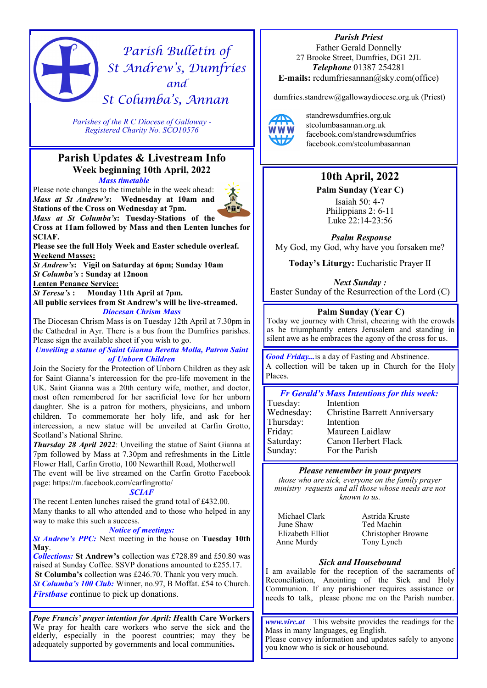# *Parish Bulletin of St Andrew's, Dumfries and St Columba's, Annan*

*Parishes of the R C Diocese of Galloway - Registered Charity No. SCO10576* 

# **Parish Updates & Livestream Info Week beginning 10th April, 2022** *Mass timetable*

Please note changes to the timetable in the week ahead: *Mass at St Andrew's***: Wednesday at 10am and Stations of the Cross on Wednesday at 7pm.**

*Mass at St Columba's***: Tuesday-Stations of the Cross at 11am followed by Mass and then Lenten lunches for SCIAF.**

**Please see the full Holy Week and Easter schedule overleaf. Weekend Masses:** 

*St Andrew's***: Vigil on Saturday at 6pm; Sunday 10am**  *St Columba's* **: Sunday at 12noon**

**Lenten Penance Service:**

*St Teresa's* **: Monday 11th April at 7pm.** 

**All public services from St Andrew's will be live-streamed.**  *Diocesan Chrism Mass*

The Diocesan Chrism Mass is on Tuesday 12th April at 7.30pm in the Cathedral in Ayr. There is a bus from the Dumfries parishes. Please sign the available sheet if you wish to go.

*Unveiling a statue of Saint Gianna Beretta Molla, Patron Saint of Unborn Children*

Join the Society for the Protection of Unborn Children as they ask for Saint Gianna's intercession for the pro-life movement in the UK. Saint Gianna was a 20th century wife, mother, and doctor, most often remembered for her sacrificial love for her unborn daughter. She is a patron for mothers, physicians, and unborn children. To commemorate her holy life, and ask for her intercession, a new statue will be unveiled at Carfin Grotto, Scotland's National Shrine.

*Thursday 28 April 2022*: Unveiling the statue of Saint Gianna at 7pm followed by Mass at 7.30pm and refreshments in the Little Flower Hall, Carfin Grotto, 100 Newarthill Road, Motherwell The event will be live streamed on the Carfin Grotto Facebook page: https://m.facebook.com/carfingrotto/

#### *SCIAF*

The recent Lenten lunches raised the grand total of £432.00. Many thanks to all who attended and to those who helped in any way to make this such a success.

#### *Notice of meetings:*

*St Andrew's PPC:* Next meeting in the house on **Tuesday 10th May**.

*Collections:* **St Andrew's** collection was £728.89 and £50.80 was raised at Sunday Coffee. SSVP donations amounted to £255.17. **St Columba's** collection was £246.70. Thank you very much. *St Columba's 100 Club:* Winner, no.97, B Moffat. £54 to Church. *Firstbase c*ontinue to pick up donations.

*Pope Francis' prayer intention for April: H***ealth Care Workers**  We pray for health care workers who serve the sick and the elderly, especially in the poorest countries; may they be adequately supported by governments and local communities*.* 

*Parish Priest*  Father Gerald Donnelly 27 Brooke Street, Dumfries, DG1 2JL *Telephone* 01387 254281 **E-mails:** rcdumfriesannan@sky.com(office)

dumfries.standrew@gallowaydiocese.org.uk (Priest)



standrewsdumfries.org.uk stcolumbasannan.org.uk facebook.com/standrewsdumfries facebook.com/stcolumbasannan

# **10th April, 2022**

**Palm Sunday (Year C)**

Isaiah 50: 4-7 Philippians 2: 6-11 Luke 22:14-23:56

*Psalm Response*  My God, my God, why have you forsaken me?

**Today's Liturgy:** Eucharistic Prayer II

*Next Sunday :*  Easter Sunday of the Resurrection of the Lord (C)

# **Palm Sunday (Year C)**

Today we journey with Christ, cheering with the crowds as he triumphantly enters Jerusalem and standing in silent awe as he embraces the agony of the cross for us.

*Good Friday...*is a day of Fasting and Abstinence. A collection will be taken up in Church for the Holy Places.

# *Fr Gerald's Mass Intentions for this week:*

| Tuesday:   | Intention                            |
|------------|--------------------------------------|
| Wednesday: | <b>Christine Barrett Anniversary</b> |
| Thursday:  | Intention                            |
| Friday:    | Maureen Laidlaw                      |
| Saturday:  | Canon Herbert Flack                  |
| Sunday:    | For the Parish                       |
|            |                                      |

#### *Please remember in your prayers*

*those who are sick, everyone on the family prayer ministry requests and all those whose needs are not known to us.* 

Michael Clark June Shaw Elizabeth Elliot Anne Murdy

Astrida Kruste Ted Machin Christopher Browne Tony Lynch

# *Sick and Housebound*

I am available for the reception of the sacraments of Reconciliation, Anointing of the Sick and Holy Communion. If any parishioner requires assistance or needs to talk, please phone me on the Parish number.

*www.virc.at* This website provides the readings for the Mass in many languages, eg English. Please convey information and updates safely to anyone you know who is sick or housebound.